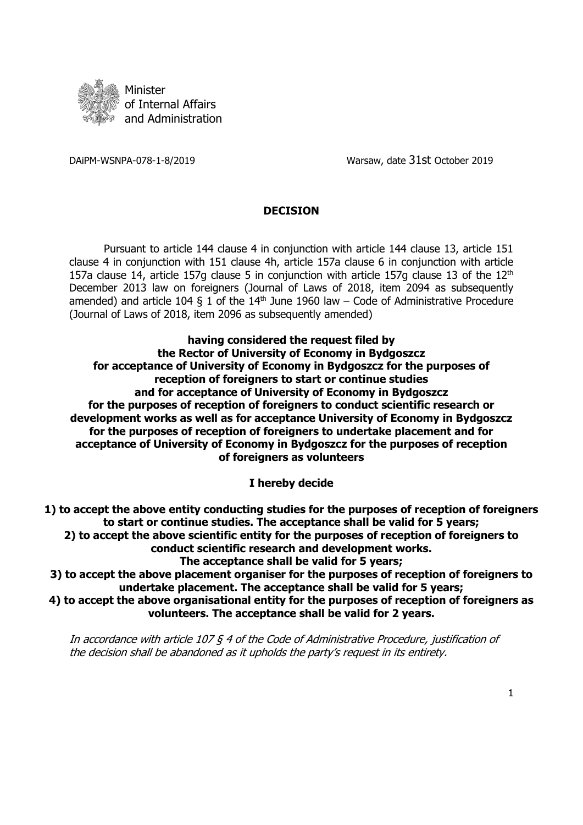

DAiPM-WSNPA-078-1-8/2019 Warsaw, date 31st October 2019

## **DECISION**

Pursuant to article 144 clause 4 in conjunction with article 144 clause 13, article 151 clause 4 in conjunction with 151 clause 4h, article 157a clause 6 in conjunction with article 157a clause 14, article 157g clause 5 in conjunction with article 157g clause 13 of the  $12<sup>th</sup>$ December 2013 law on foreigners (Journal of Laws of 2018, item 2094 as subsequently amended) and article 104 § 1 of the  $14<sup>th</sup>$  June 1960 law – Code of Administrative Procedure (Journal of Laws of 2018, item 2096 as subsequently amended)

**having considered the request filed by the Rector of University of Economy in Bydgoszcz for acceptance of University of Economy in Bydgoszcz for the purposes of reception of foreigners to start or continue studies and for acceptance of University of Economy in Bydgoszcz for the purposes of reception of foreigners to conduct scientific research or development works as well as for acceptance University of Economy in Bydgoszcz for the purposes of reception of foreigners to undertake placement and for acceptance of University of Economy in Bydgoszcz for the purposes of reception of foreigners as volunteers**

**I hereby decide**

**1) to accept the above entity conducting studies for the purposes of reception of foreigners to start or continue studies. The acceptance shall be valid for 5 years; 2) to accept the above scientific entity for the purposes of reception of foreigners to conduct scientific research and development works. The acceptance shall be valid for 5 years;**

**3) to accept the above placement organiser for the purposes of reception of foreigners to undertake placement. The acceptance shall be valid for 5 years;**

**4) to accept the above organisational entity for the purposes of reception of foreigners as volunteers. The acceptance shall be valid for 2 years.**

In accordance with article 107 § 4 of the Code of Administrative Procedure, justification of the decision shall be abandoned as it upholds the party's request in its entirety.